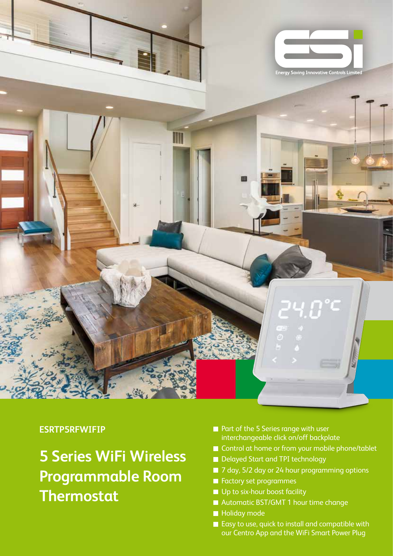

#### **ESRTP5RFWIFIP**

# **5 Series WiFi Wireless Programmable Room Thermostat**

- Part of the 5 Series range with user interchangeable click on/off backplate
- Control at home or from your mobile phone/tablet
- Delayed Start and TPI technology
- 7 day, 5/2 day or 24 hour programming options
- **Factory set programmes**
- Up to six-hour boost facility
- Automatic BST/GMT 1 hour time change
- **Holiday mode**
- Easy to use, quick to install and compatible with our Centro App and the WiFi Smart Power Plug